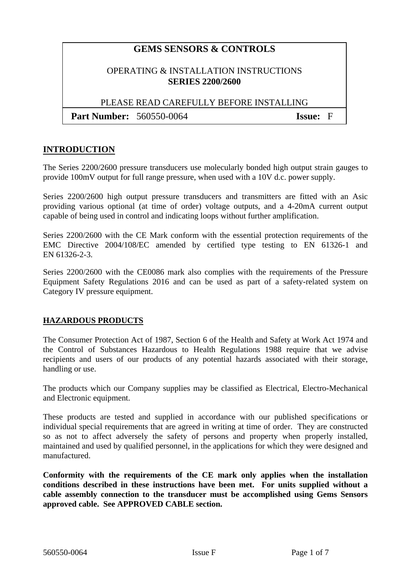# **GEMS SENSORS & CONTROLS**

#### OPERATING & INSTALLATION INSTRUCTIONS **SERIES 2200/2600**

PLEASE READ CAREFULLY BEFORE INSTALLING

**Part Number:** 560550-0064 **Issue:** F

#### **INTRODUCTION**

The Series 2200/2600 pressure transducers use molecularly bonded high output strain gauges to provide 100mV output for full range pressure, when used with a 10V d.c. power supply.

Series 2200/2600 high output pressure transducers and transmitters are fitted with an Asic providing various optional (at time of order) voltage outputs, and a 4-20mA current output capable of being used in control and indicating loops without further amplification.

Series 2200/2600 with the CE Mark conform with the essential protection requirements of the EMC Directive 2004/108/EC amended by certified type testing to EN 61326-1 and EN 61326-2-3.

Series 2200/2600 with the CE0086 mark also complies with the requirements of the Pressure Equipment Safety Regulations 2016 and can be used as part of a safety-related system on Category IV pressure equipment.

#### **HAZARDOUS PRODUCTS**

The Consumer Protection Act of 1987, Section 6 of the Health and Safety at Work Act 1974 and the Control of Substances Hazardous to Health Regulations 1988 require that we advise recipients and users of our products of any potential hazards associated with their storage, handling or use.

The products which our Company supplies may be classified as Electrical, Electro-Mechanical and Electronic equipment.

These products are tested and supplied in accordance with our published specifications or individual special requirements that are agreed in writing at time of order. They are constructed so as not to affect adversely the safety of persons and property when properly installed, maintained and used by qualified personnel, in the applications for which they were designed and manufactured.

**Conformity with the requirements of the CE mark only applies when the installation conditions described in these instructions have been met. For units supplied without a cable assembly connection to the transducer must be accomplished using Gems Sensors approved cable. See APPROVED CABLE section.**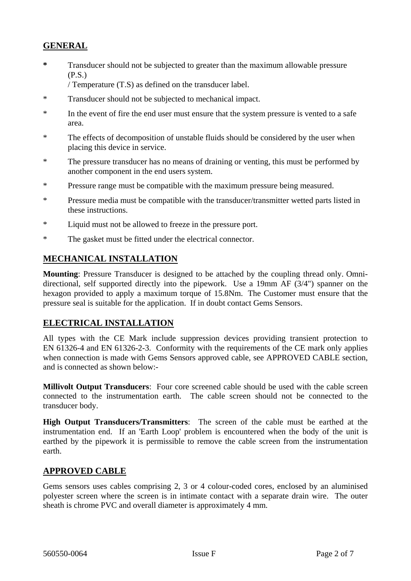## **GENERAL**

**\*** Transducer should not be subjected to greater than the maximum allowable pressure (P.S.)

/ Temperature (T.S) as defined on the transducer label.

- \* Transducer should not be subjected to mechanical impact.
- \* In the event of fire the end user must ensure that the system pressure is vented to a safe area.
- \* The effects of decomposition of unstable fluids should be considered by the user when placing this device in service.
- \* The pressure transducer has no means of draining or venting, this must be performed by another component in the end users system.
- \* Pressure range must be compatible with the maximum pressure being measured.
- \* Pressure media must be compatible with the transducer/transmitter wetted parts listed in these instructions.
- \* Liquid must not be allowed to freeze in the pressure port.
- \* The gasket must be fitted under the electrical connector.

#### **MECHANICAL INSTALLATION**

**Mounting**: Pressure Transducer is designed to be attached by the coupling thread only. Omnidirectional, self supported directly into the pipework. Use a 19mm AF (3/4") spanner on the hexagon provided to apply a maximum torque of 15.8Nm.The Customer must ensure that the pressure seal is suitable for the application. If in doubt contact Gems Sensors.

#### **ELECTRICAL INSTALLATION**

All types with the CE Mark include suppression devices providing transient protection to EN 61326-4 and EN 61326-2-3. Conformity with the requirements of the CE mark only applies when connection is made with Gems Sensors approved cable, see APPROVED CABLE section, and is connected as shown below:-

**Millivolt Output Transducers**: Four core screened cable should be used with the cable screen connected to the instrumentation earth. The cable screen should not be connected to the transducer body.

**High Output Transducers/Transmitters**: The screen of the cable must be earthed at the instrumentation end. If an 'Earth Loop' problem is encountered when the body of the unit is earthed by the pipework it is permissible to remove the cable screen from the instrumentation earth.

#### **APPROVED CABLE**

Gems sensors uses cables comprising 2, 3 or 4 colour-coded cores, enclosed by an aluminised polyester screen where the screen is in intimate contact with a separate drain wire. The outer sheath is chrome PVC and overall diameter is approximately 4 mm.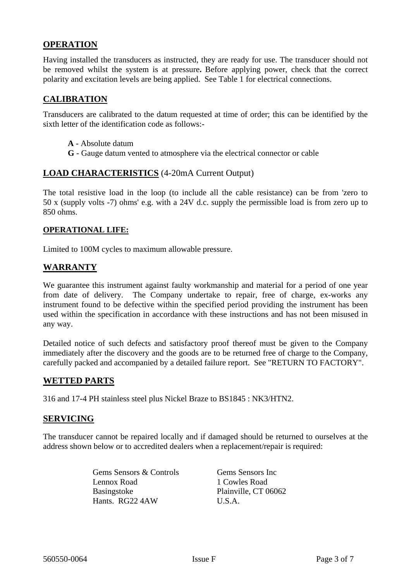## **OPERATION**

Having installed the transducers as instructed, they are ready for use. The transducer should not be removed whilst the system is at pressure**.** Before applying power, check that the correct polarity and excitation levels are being applied. See Table 1 for electrical connections.

#### **CALIBRATION**

Transducers are calibrated to the datum requested at time of order; this can be identified by the sixth letter of the identification code as follows:-

- **A** Absolute datum
- **G** Gauge datum vented to atmosphere via the electrical connector or cable

#### **LOAD CHARACTERISTICS** (4-20mA Current Output)

The total resistive load in the loop (to include all the cable resistance) can be from 'zero to 50 x (supply volts -7) ohms' e.g. with a 24V d.c. supply the permissible load is from zero up to 850 ohms.

#### **OPERATIONAL LIFE:**

Limited to 100M cycles to maximum allowable pressure.

#### **WARRANTY**

We guarantee this instrument against faulty workmanship and material for a period of one year from date of delivery. The Company undertake to repair, free of charge, ex-works any instrument found to be defective within the specified period providing the instrument has been used within the specification in accordance with these instructions and has not been misused in any way.

Detailed notice of such defects and satisfactory proof thereof must be given to the Company immediately after the discovery and the goods are to be returned free of charge to the Company, carefully packed and accompanied by a detailed failure report. See "RETURN TO FACTORY".

#### **WETTED PARTS**

316 and 17-4 PH stainless steel plus Nickel Braze to BS1845 : NK3/HTN2.

#### **SERVICING**

The transducer cannot be repaired locally and if damaged should be returned to ourselves at the address shown below or to accredited dealers when a replacement/repair is required:

> Gems Sensors & Controls Gems Sensors Inc Lennox Road 1 Cowles Road Basingstoke Plainville, CT 06062 Hants. RG22 4AW U.S.A.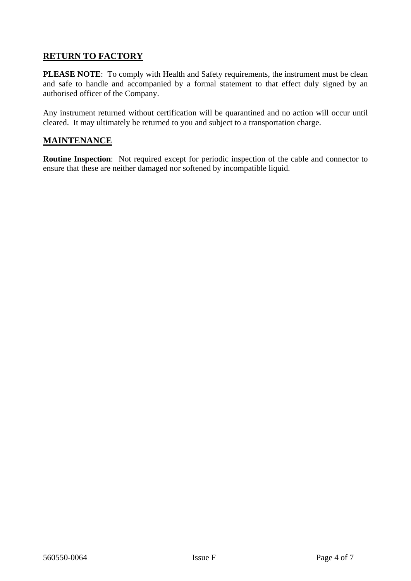# **RETURN TO FACTORY**

PLEASE NOTE: To comply with Health and Safety requirements, the instrument must be clean and safe to handle and accompanied by a formal statement to that effect duly signed by an authorised officer of the Company.

Any instrument returned without certification will be quarantined and no action will occur until cleared. It may ultimately be returned to you and subject to a transportation charge.

#### **MAINTENANCE**

**Routine Inspection**: Not required except for periodic inspection of the cable and connector to ensure that these are neither damaged nor softened by incompatible liquid.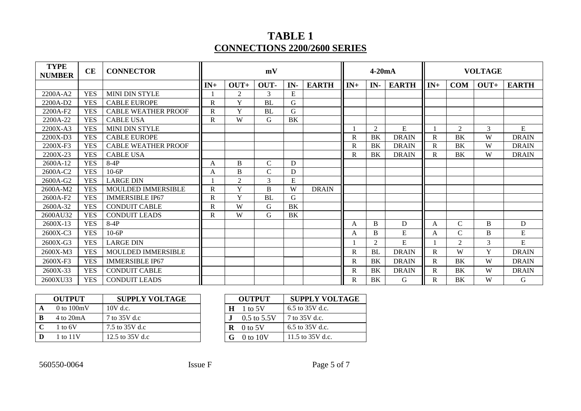# **TABLE 1 CONNECTIONS 2200/2600 SERIES**

| <b>TYPE</b><br><b>NUMBER</b> | CE         | <b>CONNECTOR</b>           | mV           |                |              | $4-20mA$  |              | <b>VOLTAGE</b> |           |              |              |                |              |              |
|------------------------------|------------|----------------------------|--------------|----------------|--------------|-----------|--------------|----------------|-----------|--------------|--------------|----------------|--------------|--------------|
|                              |            |                            | $IN+$        | $OUT+$         | OUT-         | IN-       | <b>EARTH</b> | $IN+$          | IN-       | <b>EARTH</b> | $IN+$        | <b>COM</b>     | $OUT+$       | <b>EARTH</b> |
| 2200A-A2                     | <b>YES</b> | <b>MINI DIN STYLE</b>      |              | 2              | 3            | ${\bf E}$ |              |                |           |              |              |                |              |              |
| 2200A-D2                     | <b>YES</b> | <b>CABLE EUROPE</b>        | $\mathbb{R}$ | $\mathbf Y$    | <b>BL</b>    | G         |              |                |           |              |              |                |              |              |
| 2200A-F2                     | <b>YES</b> | <b>CABLE WEATHER PROOF</b> | $\mathbb{R}$ | Y              | <b>BL</b>    | G         |              |                |           |              |              |                |              |              |
| 2200A-22                     | <b>YES</b> | <b>CABLE USA</b>           | $\mathbf R$  | W              | $\mathbf G$  | BK        |              |                |           |              |              |                |              |              |
| 2200X-A3                     | <b>YES</b> | MINI DIN STYLE             |              |                |              |           |              |                | 2         | E            |              | 2              | 3            | E            |
| 2200X-D3                     | <b>YES</b> | <b>CABLE EUROPE</b>        |              |                |              |           |              | $\mathbb{R}$   | <b>BK</b> | <b>DRAIN</b> | $\mathbb{R}$ | <b>BK</b>      | W            | <b>DRAIN</b> |
| 2200X-F3                     | <b>YES</b> | <b>CABLE WEATHER PROOF</b> |              |                |              |           |              | R              | BK        | <b>DRAIN</b> | R            | BK             | W            | <b>DRAIN</b> |
| 2200X-23                     | <b>YES</b> | <b>CABLE USA</b>           |              |                |              |           |              | R              | BK        | <b>DRAIN</b> | R            | BK             | W            | <b>DRAIN</b> |
| $2600A-12$                   | <b>YES</b> | $8-4P$                     | A            | B              | $\mathsf{C}$ | D         |              |                |           |              |              |                |              |              |
| 2600A-C2                     | <b>YES</b> | $10-6P$                    | A            | B              | $\mathbf C$  | D         |              |                |           |              |              |                |              |              |
| $2600A-G2$                   | <b>YES</b> | <b>LARGE DIN</b>           |              | $\overline{2}$ | 3            | E         |              |                |           |              |              |                |              |              |
| 2600A-M2                     | <b>YES</b> | <b>MOULDED IMMERSIBLE</b>  | $\mathbb{R}$ | Y              | B            | W         | <b>DRAIN</b> |                |           |              |              |                |              |              |
| 2600A-F2                     | <b>YES</b> | <b>IMMERSIBLE IP67</b>     | $\mathbf{R}$ | Y              | <b>BL</b>    | G         |              |                |           |              |              |                |              |              |
| 2600A-32                     | <b>YES</b> | <b>CONDUIT CABLE</b>       | R            | W              | G            | BK        |              |                |           |              |              |                |              |              |
| 2600AU32                     | <b>YES</b> | <b>CONDUIT LEADS</b>       | R            | W              | G            | BK        |              |                |           |              |              |                |              |              |
| 2600X-13                     | <b>YES</b> | $8-4P$                     |              |                |              |           |              | A              | B         | D            | A            | $\mathcal{C}$  | B            | D            |
| 2600X-C3                     | <b>YES</b> | $10-6P$                    |              |                |              |           |              | A              | B         | ${\bf E}$    | A            | C              | <sub>B</sub> | E            |
| 2600X-G3                     | <b>YES</b> | <b>LARGE DIN</b>           |              |                |              |           |              |                | 2         | E            |              | $\mathfrak{D}$ | 3            | E            |
| 2600X-M3                     | <b>YES</b> | MOULDED IMMERSIBLE         |              |                |              |           |              | $\mathbf R$    | <b>BL</b> | <b>DRAIN</b> | R            | W              | Y            | <b>DRAIN</b> |
| $2600X-F3$                   | <b>YES</b> | <b>IMMERSIBLE IP67</b>     |              |                |              |           |              | $\mathbf R$    | BK        | <b>DRAIN</b> | $\mathsf{R}$ | BK             | W            | <b>DRAIN</b> |
| 2600X-33                     | <b>YES</b> | <b>CONDUIT CABLE</b>       |              |                |              |           |              | $\mathbb{R}$   | BK        | <b>DRAIN</b> | $\mathbf R$  | <b>BK</b>      | W            | <b>DRAIN</b> |
| 2600XU33                     | <b>YES</b> | <b>CONDUIT LEADS</b>       |              |                |              |           |              | $\mathbf R$    | <b>BK</b> | G            | $\mathsf{R}$ | BK             | W            | G            |

|   | <b>OUTPUT</b>                | <b>SUPPLY VOLTAGE</b> |   | <b>OUTPUT</b>   | <b>SUPPLY VOLTAGE</b> |
|---|------------------------------|-----------------------|---|-----------------|-----------------------|
|   | $0$ to $100mV$               | $10V$ d.c.            | Ħ | 1 to $5V$       | 6.5 to $35V$ d.c.     |
| B | $4 \text{ to } 20 \text{mA}$ | 7 to 35V d.c          |   | $0.5$ to $5.5V$ | 7 to 35V d.c.         |
|   | $1$ to $6V$                  | 7.5 to 35V d.c        |   | $0$ to 5V       | 6.5 to $35V$ d.c.     |
|   | 1 to 11V                     | 12.5 to $35V$ d.c.    |   | 0 to 10V        | 11.5 to 35V d.c.      |

| <b>OUTPUT</b>        | <b>SUPPLY VOLTAGE</b> |
|----------------------|-----------------------|
| $H = 1$ to 5V        | 6.5 to 35V d.c.       |
| $0.5$ to $5.5V$      | 7 to 35V d.c.         |
| $\mathbf{R}$ 0 to 5V | 6.5 to 35V d.c.       |
| $G$ 0 to 10V         | 11.5 to 35V d.c.      |

560550-0064 Issue F Page 5 of 7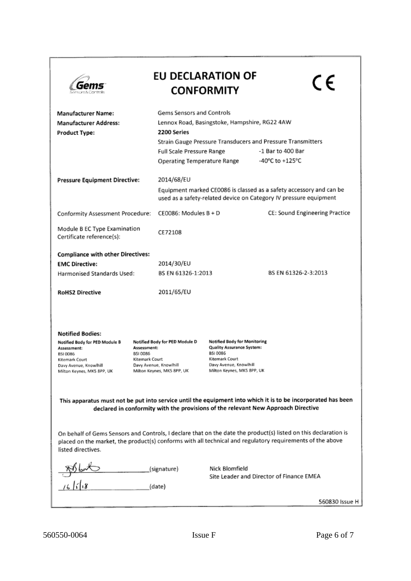|                                                                                                                                                                                                   |                                                                                                                                     | <b>EU DECLARATION OF</b><br><b>CONFORMITY</b>                                                                                                          | C E                                                                                                                                                                                                                          |  |  |  |  |  |
|---------------------------------------------------------------------------------------------------------------------------------------------------------------------------------------------------|-------------------------------------------------------------------------------------------------------------------------------------|--------------------------------------------------------------------------------------------------------------------------------------------------------|------------------------------------------------------------------------------------------------------------------------------------------------------------------------------------------------------------------------------|--|--|--|--|--|
| <b>Manufacturer Name:</b>                                                                                                                                                                         |                                                                                                                                     | Gems Sensors and Controls                                                                                                                              |                                                                                                                                                                                                                              |  |  |  |  |  |
| <b>Manufacturer Address:</b>                                                                                                                                                                      |                                                                                                                                     | Lennox Road, Basingstoke, Hampshire, RG22 4AW                                                                                                          |                                                                                                                                                                                                                              |  |  |  |  |  |
| <b>Product Type:</b>                                                                                                                                                                              | 2200 Series                                                                                                                         |                                                                                                                                                        |                                                                                                                                                                                                                              |  |  |  |  |  |
|                                                                                                                                                                                                   |                                                                                                                                     | Strain Gauge Pressure Transducers and Pressure Transmitters                                                                                            |                                                                                                                                                                                                                              |  |  |  |  |  |
|                                                                                                                                                                                                   | Full Scale Pressure Range                                                                                                           |                                                                                                                                                        | -1 Bar to 400 Bar<br>-40°C to +125°C                                                                                                                                                                                         |  |  |  |  |  |
|                                                                                                                                                                                                   |                                                                                                                                     | Operating Temperature Range                                                                                                                            |                                                                                                                                                                                                                              |  |  |  |  |  |
| <b>Pressure Equipment Directive:</b>                                                                                                                                                              | 2014/68/EU                                                                                                                          |                                                                                                                                                        |                                                                                                                                                                                                                              |  |  |  |  |  |
|                                                                                                                                                                                                   |                                                                                                                                     | Equipment marked CE0086 is classed as a safety accessory and can be<br>used as a safety-related device on Category IV pressure equipment               |                                                                                                                                                                                                                              |  |  |  |  |  |
| Conformity Assessment Procedure:                                                                                                                                                                  | $CE0086$ : Modules $B + D$                                                                                                          |                                                                                                                                                        | CE: Sound Engineering Practice                                                                                                                                                                                               |  |  |  |  |  |
| Module B EC Type Examination<br>Certificate reference(s):                                                                                                                                         | CE72108                                                                                                                             |                                                                                                                                                        |                                                                                                                                                                                                                              |  |  |  |  |  |
| <b>Compliance with other Directives:</b>                                                                                                                                                          |                                                                                                                                     |                                                                                                                                                        |                                                                                                                                                                                                                              |  |  |  |  |  |
| <b>EMC Directive:</b>                                                                                                                                                                             | 2014/30/EU                                                                                                                          |                                                                                                                                                        |                                                                                                                                                                                                                              |  |  |  |  |  |
| Harmonised Standards Used:                                                                                                                                                                        |                                                                                                                                     | BS EN 61326-2-3:2013<br>BS EN 61326-1:2013                                                                                                             |                                                                                                                                                                                                                              |  |  |  |  |  |
| <b>RoHS2 Directive</b>                                                                                                                                                                            | 2011/65/EU                                                                                                                          |                                                                                                                                                        |                                                                                                                                                                                                                              |  |  |  |  |  |
| <b>Notified Bodies:</b><br>Notified Body for PED Module B<br>Assessment:<br>BSI 0086<br>Kitemark Court<br>Davy Avenue, Knowlhill<br>Milton Keynes, MK5 8PP, UK                                    | Notified Body for PED Module D<br>Assessment:<br>BSI 0086<br>Kitemark Court<br>Davy Avenue, Knowlhill<br>Milton Keynes, MK5 8PP, UK | <b>Notified Body for Monitoring</b><br>Quality Assurance System:<br>BSI 0086<br>Kitemark Court<br>Davy Avenue, Knowlhill<br>Milton Keynes, MK5 8PP, UK |                                                                                                                                                                                                                              |  |  |  |  |  |
| This apparatus must not be put into service until the equipment into which it is to be incorporated has been<br>declared in conformity with the provisions of the relevant New Approach Directive |                                                                                                                                     |                                                                                                                                                        |                                                                                                                                                                                                                              |  |  |  |  |  |
| listed directives.                                                                                                                                                                                |                                                                                                                                     |                                                                                                                                                        | On behalf of Gems Sensors and Controls, I declare that on the date the product(s) listed on this declaration is<br>placed on the market, the product(s) conforms with all technical and regulatory requirements of the above |  |  |  |  |  |
|                                                                                                                                                                                                   | (signature)                                                                                                                         | Nick Blomfield                                                                                                                                         |                                                                                                                                                                                                                              |  |  |  |  |  |
| $\frac{86600}{16118}$                                                                                                                                                                             | (date)                                                                                                                              | Site Leader and Director of Finance EMEA                                                                                                               |                                                                                                                                                                                                                              |  |  |  |  |  |
|                                                                                                                                                                                                   |                                                                                                                                     |                                                                                                                                                        | 560830 Issue H                                                                                                                                                                                                               |  |  |  |  |  |